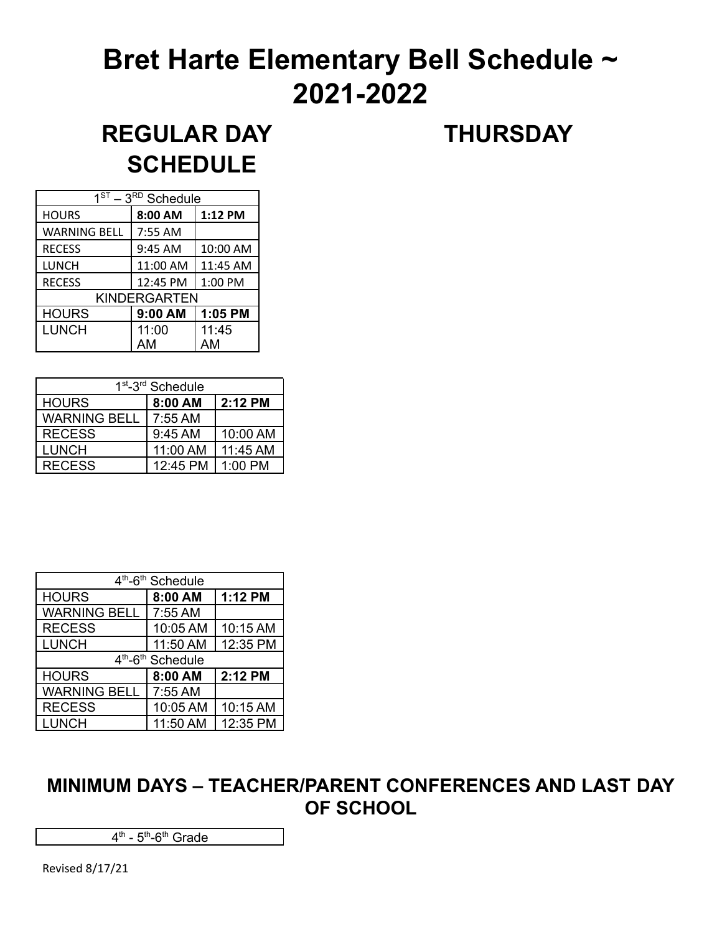# **Bret Harte Elementary Bell Schedule ~ 2021-2022**

## **REGULAR DAY THURSDAY SCHEDULE**

| $1ST - 3RD$ Schedule |          |          |  |
|----------------------|----------|----------|--|
| <b>HOURS</b>         | 8:00 AM  | 1:12 PM  |  |
| <b>WARNING BELL</b>  | 7:55 AM  |          |  |
| <b>RECESS</b>        | 9:45 AM  | 10:00 AM |  |
| LUNCH                | 11:00 AM | 11:45 AM |  |
| <b>RECESS</b>        | 12:45 PM | 1:00 PM  |  |
| <b>KINDERGARTEN</b>  |          |          |  |
| <b>HOURS</b>         | 9:00 AM  | 1:05 PM  |  |
| <b>LUNCH</b>         | 11:00    | 11:45    |  |
|                      | AМ       | AM       |  |

| 1 <sup>st</sup> -3 <sup>rd</sup> Schedule |          |          |  |
|-------------------------------------------|----------|----------|--|
| <b>HOURS</b>                              | 8:00 AM  | 2:12 PM  |  |
| <b>WARNING BELL</b>                       | 7:55 AM  |          |  |
| <b>RECESS</b>                             | 9:45 AM  | 10:00 AM |  |
| <b>LUNCH</b>                              | 11:00 AM | 11:45 AM |  |
| <b>RECESS</b>                             | 12:45 PM | 1:00 PM  |  |

| 4 <sup>th</sup> -6 <sup>th</sup> Schedule |          |          |  |
|-------------------------------------------|----------|----------|--|
| <b>HOURS</b>                              | 8:00 AM  | 1:12 PM  |  |
| <b>WARNING BELL</b>                       | 7:55 AM  |          |  |
| <b>RECESS</b>                             | 10:05 AM | 10:15 AM |  |
| <b>LUNCH</b>                              | 11:50 AM | 12:35 PM |  |
| 4 <sup>th</sup> -6 <sup>th</sup> Schedule |          |          |  |
| <b>HOURS</b>                              | 8:00 AM  | 2:12 PM  |  |
| <b>WARNING BELL</b>                       | 7:55 AM  |          |  |
| <b>RECESS</b>                             | 10:05 AM | 10:15 AM |  |
| <b>LUNCH</b>                              | 11:50 AM | 12:35 PM |  |

### **MINIMUM DAYS – TEACHER/PARENT CONFERENCES AND LAST DAY OF SCHOOL**

4<sup>th</sup> - 5<sup>th</sup>-6<sup>th</sup> Grade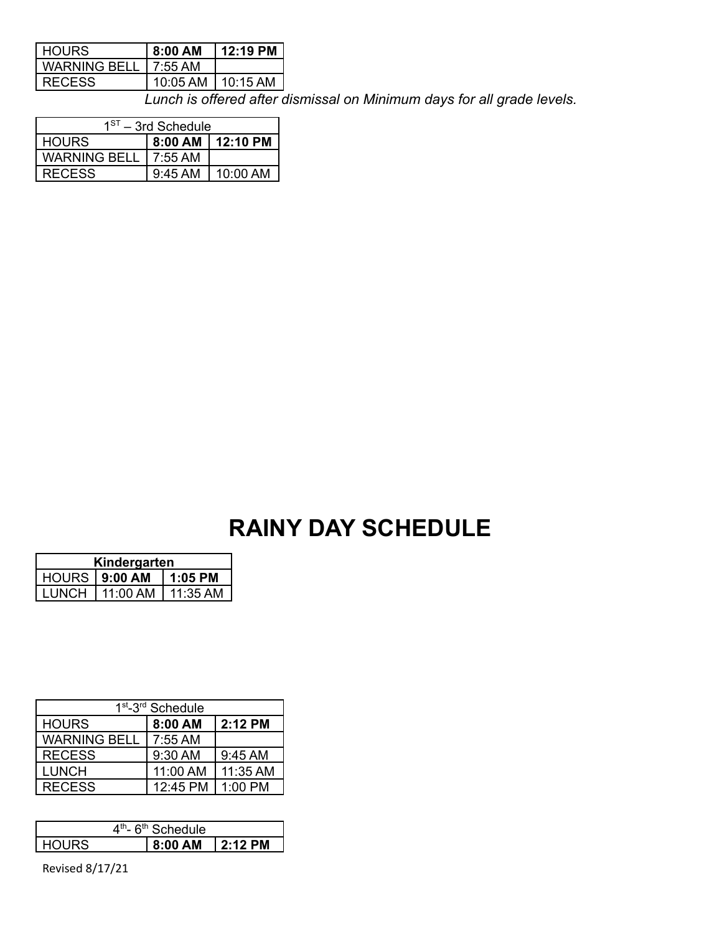| <b>HOURS</b>        | 8:00 AM  | 12:19 PM   |
|---------------------|----------|------------|
| <b>WARNING BELL</b> | 7:55 AM  |            |
| <b>RECESS</b>       | 10:05 AM | $10:15$ AM |

*Lunch is offered after dismissal on Minimum days for all grade levels.*

| $1ST - 3rd$ Schedule |           |                    |
|----------------------|-----------|--------------------|
| <b>HOURS</b>         |           | 8:00 AM   12:10 PM |
| WARNING BELL         | 7:55 AM   |                    |
| <b>RECESS</b>        | $9:45$ AM | 10:00 AM           |

### **RAINY DAY SCHEDULE**

| Kindergarten         |          |            |  |
|----------------------|----------|------------|--|
| HOURS <b>9:00 AM</b> |          | $1:05$ PM  |  |
| <b>LUNCH</b>         | 11:00 AM | $11:35$ AM |  |

| 1 <sup>st</sup> -3 <sup>rd</sup> Schedule |          |           |  |
|-------------------------------------------|----------|-----------|--|
| <b>HOURS</b>                              | 8:00 AM  | $2:12$ PM |  |
| <b>WARNING BELL</b>                       | 7:55 AM  |           |  |
| <b>RECESS</b>                             | 9:30 AM  | 9:45 AM   |  |
| LUNCH                                     | 11:00 AM | 11:35 AM  |  |
| <b>RECESS</b>                             | 12:45 PM | $1:00$ PM |  |

| - 6 <sup>th</sup> Schedule<br>$4^{\text{th}}$ - |  |           |                |
|-------------------------------------------------|--|-----------|----------------|
| I HOLIRS                                        |  | . 8:00 AM | $\mid$ 2:12 PM |

Revised 8/17/21